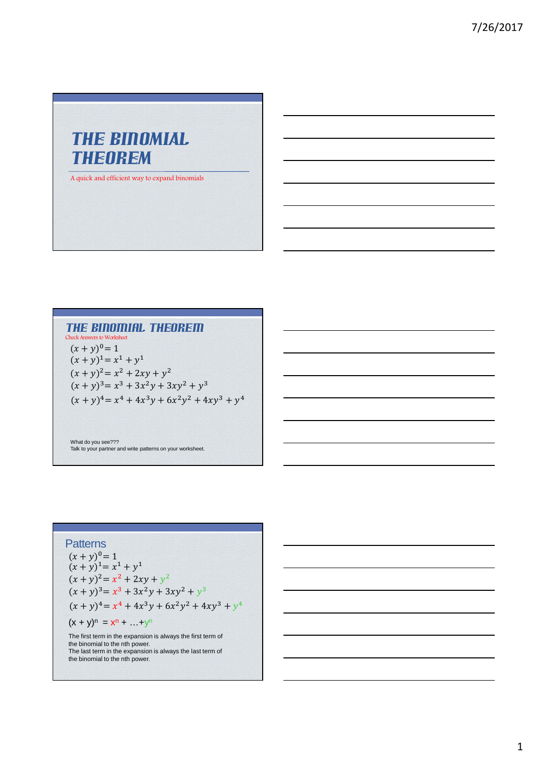# THE BINOMIAL THEOREM

A quick and efficient way to expand binomials

#### The Binomial Theorem Check Answers to Worksheet

 $(x + y)^1 = x^1 + y^1$  $(x + y)^2 = x^2 + 2xy + y^2$  $(x + y)^3 = x^3 + 3x^2y + 3xy^2 + y^3$  $(x + y)^4 = x^4 + 4x^3y + 6x^2y^2 + 4xy^3 + y^4$  $(x + y)^0 = 1$ 

What do you see??? Talk to your partner and write patterns on your worksheet.

#### **Patterns**

 $(x + y)^n = x^n + ... + y^n$  $(x + y)^2 = x^2 + 2xy + y^2$  $(x + y)^3 = x^3 + 3x^2y + 3xy^2 + y^3$  $(x + y)^4 = x^4 + 4x^3y + 6x^2y^2 + 4xy^3 + y^4$  $(x + y)^1 = x^1 + y^1$  $(x + y)^0 = 1$ 

The first term in the expansion is always the first term of the binomial to the nth power. The last term in the expansion is always the last term of the binomial to the nth power.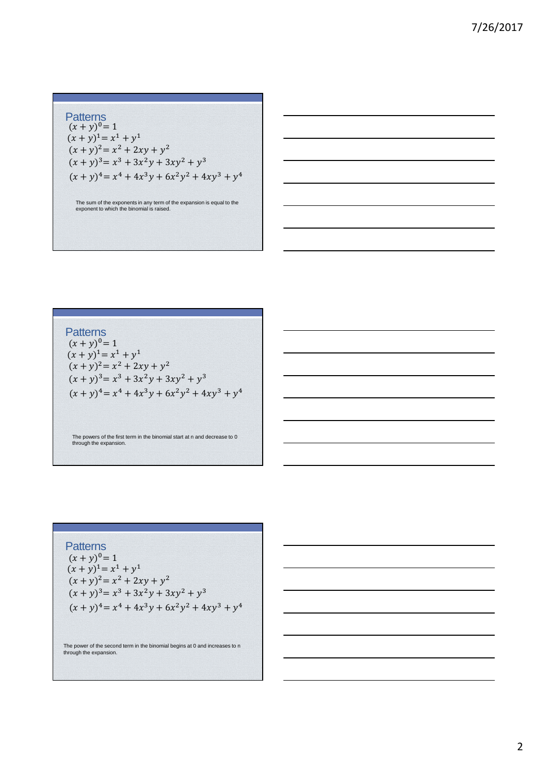**Patterns**  $(x + y)^2 = x^2 + 2xy + y^2$  $(x + y)^3 = x^3 + 3x^2y + 3xy^2 + y^3$  $(x + y)^4 = x^4 + 4x^3y + 6x^2y^2 + 4xy^3 + y^4$  $(x + y)^{1} = x^{1} + y^{1}$  $(x + y)^0 = 1$ 

The sum of the exponents in any term of the expansion is equal to the exponent to which the binomial is raised.

**Patterns**  $(x + y)^2 = x^2 + 2xy + y^2$  $(x + y)^3 = x^3 + 3x^2y + 3xy^2 + y^3$  $(x + y)^4 = x^4 + 4x^3y + 6x^2y^2 + 4xy^3 + y^4$  $(x + y)^1 = x^1 + y^1$  $(x + y)^0 = 1$ 

The powers of the first term in the binomial start at n and decrease to 0 through the expansion.

**Patterns**  $(x + y)^2 = x^2 + 2xy + y^2$  $(x + y)^3 = x^3 + 3x^2y + 3xy^2 + y^3$  $(x + y)^4 = x^4 + 4x^3y + 6x^2y^2 + 4xy^3 + y^4$  $(x + y)^1 = x^1 + y^1$  $(x + y)^0 = 1$ 

The power of the second term in the binomial begins at 0 and increases to n through the expansion.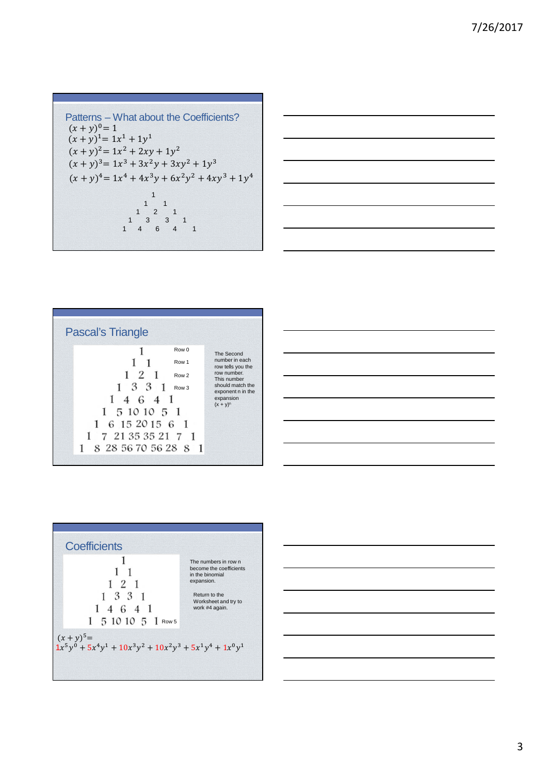```
Patterns – What about the Coefficients?
(x + y)^2 = 1x^2 + 2xy + 1y^2(x + y)^3 = 1x^3 + 3x^2y + 3xy^2 + 1y^3(x + y)^4 = 1x^4 + 4x^3y + 6x^2y^2 + 4xy^3 + 1y^4(x + y)^{1} = 1x^{1} + 1y^{1}(x + y)^0 = 11
                         \begin{array}{cc} 1 & 1 \\ 2 & 1 \end{array}1 \quad 2\begin{array}{cccc} 1 & 3 & 3 & 1 \\ 1 & 4 & 6 & 4 \end{array}6 \t 4 \t 1
```

$$
\begin{array}{|c|c|c|c|c|}\hline \hline \multicolumn{3}{|c|}{\hline} \multicolumn{3}{|c|}{\hline} \multicolumn{3}{|c|}{\hline} \multicolumn{3}{|c|}{\hline} \multicolumn{3}{|c|}{\hline} \multicolumn{3}{|c|}{\hline} \multicolumn{3}{|c|}{\hline} \multicolumn{3}{|c|}{\hline} \multicolumn{3}{|c|}{\hline} \multicolumn{3}{|c|}{\hline} \multicolumn{3}{|c|}{\hline} \multicolumn{3}{|c|}{\hline} \multicolumn{3}{|c|}{\hline} \multicolumn{3}{|c|}{\hline} \multicolumn{3}{|c|}{\hline} \multicolumn{3}{|c|}{\hline} \multicolumn{3}{|c|}{\hline} \multicolumn{3}{|c|}{\hline} \multicolumn{3}{|c|}{\hline} \multicolumn{3}{|c|}{\hline} \multicolumn{3}{|c|}{\hline} \multicolumn{3}{|c|}{\hline} \multicolumn{3}{|c|}{\hline} \multicolumn{3}{|c|}{\hline} \multicolumn{3}{|c|}{\hline} \multicolumn{3}{|c|}{\hline} \multicolumn{3}{|c|}{\hline} \multicolumn{3}{|c|}{\hline} \multicolumn{3}{|c|}{\hline} \multicolumn{3}{|c|}{\hline} \multicolumn{3}{|c|}{\hline} \multicolumn{3}{|c|}{\hline} \multicolumn{3}{|c|}{\hline} \multicolumn{3}{|c|}{\hline} \multicolumn{3}{|c|}{\hline} \multicolumn{3}{|c|}{\hline} \multicolumn{3}{|c|}{\hline} \multicolumn{3}{|c|}{\hline} \multicolumn{3}{|c|}{\hline} \multicolumn{3}{|c|}{\hline} \multicolumn{3}{|c|}{\hline} \multicolumn{3}{|c|}{\hline} \multicolumn{3}{|c|}{\hline} \multicolumn{3}{|c|}{\hline} \multicolumn{3}{|c|}{\hline} \multicolumn{3}{|c|}{\hline} \multicolumn{3}{|c|}{\hline} \multicolumn{3}{|c|}{\hline} \multicolumn{3}{|c|}{\hline} \multic
$$

Pascal's Triangle Row 0 Row 1 Row 2 Row 3 The Second number in each row tells you the row number. This number should match the exponent n in the expansion (x + y)<sup>n</sup>

| Coefficients                                                  | 1                    |                                                    |    |   |   |
|---------------------------------------------------------------|----------------------|----------------------------------------------------|----|---|---|
| 1                                                             | The numbers in row n |                                                    |    |   |   |
| 1                                                             | 1                    | become the coefficients in the binomial expansion. |    |   |   |
| 1                                                             | 2                    | 1                                                  |    |   |   |
| 1                                                             | 3                    | 3                                                  | 1  |   |   |
| 1                                                             | 4                    | 6                                                  | 4  | 1 |   |
| 1                                                             | 5                    | 10                                                 | 10 | 5 | 1 |
| $(x + y)^5 =$                                                 |                      |                                                    |    |   |   |
| $1x^5y^0 + 5x^4y^1 + 10x^3y^2 + 10x^2y^3 + 5x^1y^4 + 1x^0y^1$ |                      |                                                    |    |   |   |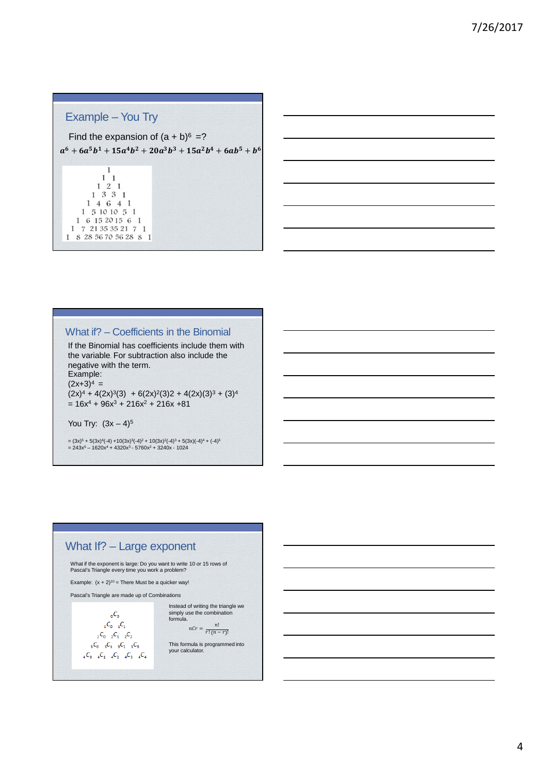# Example – You Try

Find the expansion of  $(a + b)^6 = ?$  $a^6 + 6a^5b^1 + 15a^4b^2 + 20a^3b^3 + 15a^2b^4 + 6ab^5 + b^6$ 



### What if? – Coefficients in the Binomial

If the Binomial has coefficients include them with the variable. For subtraction also include the negative with the term. Example:  $(2x+3)^4$  =  $(2x)^4 + 4(2x)^3(3) + 6(2x)^2(3)2 + 4(2x)(3)^3 + (3)^4$  $= 16x^{4} + 96x^{3} + 216x^{2} + 216x + 81$ 

You Try:  $(3x - 4)^5$ 

= (3x)<sup>5</sup> + 5(3x)<sup>4</sup>(-4) +10(3x)<sup>3</sup>(-4)<sup>2</sup> + 10(3x)<sup>2</sup>(-4)<sup>3</sup> + 5(3x)(-4)<sup>4</sup> + (-4)<sup>5</sup><br>= 243x<sup>5</sup> – 1620x<sup>4</sup> + 4320x<sup>3</sup> - 5760x<sup>2</sup> + 3240x - 1024

## What If? – Large exponent

What if the exponent is large: Do you want to write 10 or 15 rows of Pascal's Triangle every time you work a problem?

Example:  $(x + 2)^{10}$  = There Must be a quicker way!

Pascal's Triangle are made up of Combinations

 $C_{\rm o}$  $_{1}C_{0}$   $_{1}C_{1}$  $C_2C_0C_1C_2C_2$  ${}_{5}C_{0}$   ${}_{5}C_{1}$   ${}_{5}C_{2}$   ${}_{5}C_{5}$  ${}_{4}C_{0}$   ${}_{4}C_{1}$   ${}_{4}C_{2}$   ${}_{4}C_{3}$   ${}_{4}C_{4}$  Instead of writing the triangle we simply use the combination formula.  $\frac{n!}{n!}$ 

 $nCr = \frac{1}{r!(n-r)!}$ 

This formula is programmed into your calculator.